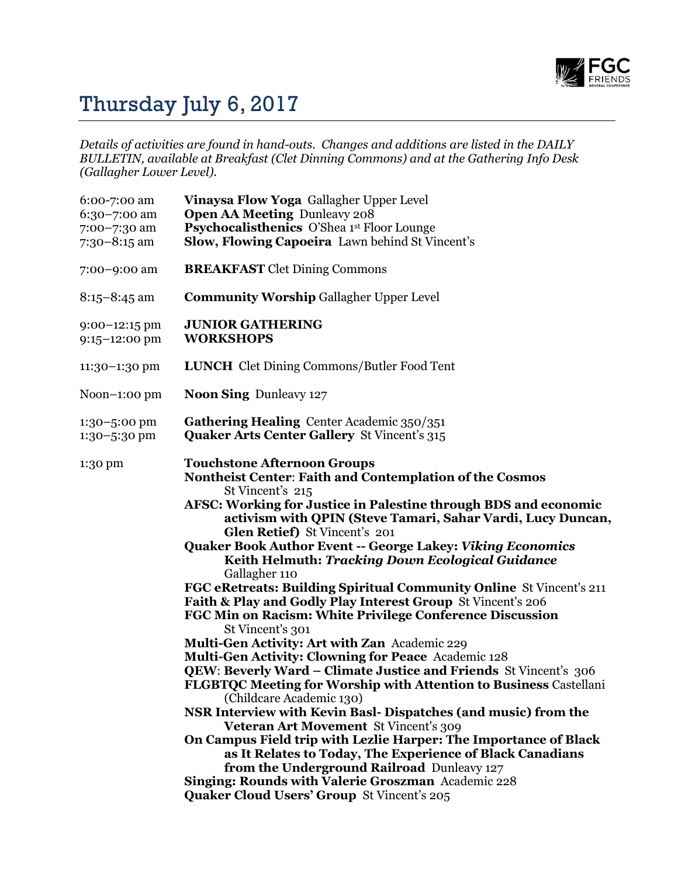

## Thursday July 6, 2017

*Details of activities are found in hand-outs. Changes and additions are listed in the DAILY BULLETIN, available at Breakfast (Clet Dinning Commons) and at the Gathering Info Desk (Gallagher Lower Level).*

| 6:00-7:00 am<br>$6:30 - 7:00$ am<br>7:00-7:30 am<br>$7:30-8:15$ am | Vinaysa Flow Yoga Gallagher Upper Level<br><b>Open AA Meeting Dunleavy 208</b><br>Psychocalisthenics O'Shea 1st Floor Lounge<br>Slow, Flowing Capoeira Lawn behind St Vincent's                                                                                                                                                                                                                                                                                                                                                                                                                                                                                                                                                                                                                                                                                                                                                                                                                                                                                                                                                                                                                                                                                                                                                                                   |
|--------------------------------------------------------------------|-------------------------------------------------------------------------------------------------------------------------------------------------------------------------------------------------------------------------------------------------------------------------------------------------------------------------------------------------------------------------------------------------------------------------------------------------------------------------------------------------------------------------------------------------------------------------------------------------------------------------------------------------------------------------------------------------------------------------------------------------------------------------------------------------------------------------------------------------------------------------------------------------------------------------------------------------------------------------------------------------------------------------------------------------------------------------------------------------------------------------------------------------------------------------------------------------------------------------------------------------------------------------------------------------------------------------------------------------------------------|
| 7:00-9:00 am                                                       | <b>BREAKFAST</b> Clet Dining Commons                                                                                                                                                                                                                                                                                                                                                                                                                                                                                                                                                                                                                                                                                                                                                                                                                                                                                                                                                                                                                                                                                                                                                                                                                                                                                                                              |
| $8:15 - 8:45$ am                                                   | <b>Community Worship Gallagher Upper Level</b>                                                                                                                                                                                                                                                                                                                                                                                                                                                                                                                                                                                                                                                                                                                                                                                                                                                                                                                                                                                                                                                                                                                                                                                                                                                                                                                    |
| $9:00-12:15$ pm<br>9:15-12:00 pm                                   | <b>JUNIOR GATHERING</b><br><b>WORKSHOPS</b>                                                                                                                                                                                                                                                                                                                                                                                                                                                                                                                                                                                                                                                                                                                                                                                                                                                                                                                                                                                                                                                                                                                                                                                                                                                                                                                       |
| 11:30-1:30 pm                                                      | <b>LUNCH</b> Clet Dining Commons/Butler Food Tent                                                                                                                                                                                                                                                                                                                                                                                                                                                                                                                                                                                                                                                                                                                                                                                                                                                                                                                                                                                                                                                                                                                                                                                                                                                                                                                 |
| Noon $-1:00$ pm                                                    | <b>Noon Sing Dunleavy 127</b>                                                                                                                                                                                                                                                                                                                                                                                                                                                                                                                                                                                                                                                                                                                                                                                                                                                                                                                                                                                                                                                                                                                                                                                                                                                                                                                                     |
| 1:30-5:00 pm<br>1:30-5:30 pm                                       | Gathering Healing Center Academic 350/351<br><b>Quaker Arts Center Gallery St Vincent's 315</b>                                                                                                                                                                                                                                                                                                                                                                                                                                                                                                                                                                                                                                                                                                                                                                                                                                                                                                                                                                                                                                                                                                                                                                                                                                                                   |
| 1:30 pm                                                            | <b>Touchstone Afternoon Groups</b><br><b>Nontheist Center: Faith and Contemplation of the Cosmos</b><br>St Vincent's 215<br>AFSC: Working for Justice in Palestine through BDS and economic<br>activism with QPIN (Steve Tamari, Sahar Vardi, Lucy Duncan,<br>Glen Retief) St Vincent's 201<br><b>Quaker Book Author Event -- George Lakey: Viking Economics</b><br><b>Keith Helmuth: Tracking Down Ecological Guidance</b><br>Gallagher 110<br>FGC eRetreats: Building Spiritual Community Online St Vincent's 211<br>Faith & Play and Godly Play Interest Group St Vincent's 206<br>FGC Min on Racism: White Privilege Conference Discussion<br>St Vincent's 301<br>Multi-Gen Activity: Art with Zan Academic 229<br><b>Multi-Gen Activity: Clowning for Peace</b> Academic 128<br><b>QEW: Beverly Ward – Climate Justice and Friends St Vincent's 306</b><br>FLGBTQC Meeting for Worship with Attention to Business Castellani<br>(Childcare Academic 130)<br>NSR Interview with Kevin Basl-Dispatches (and music) from the<br>Veteran Art Movement St Vincent's 309<br>On Campus Field trip with Lezlie Harper: The Importance of Black<br>as It Relates to Today, The Experience of Black Canadians<br>from the Underground Railroad Dunleavy 127<br>Singing: Rounds with Valerie Groszman Academic 228<br><b>Quaker Cloud Users' Group St Vincent's 205</b> |